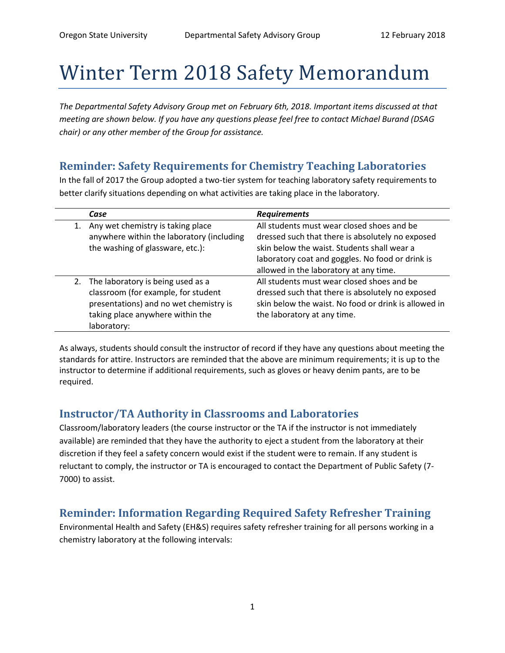## Winter Term 2018 Safety Memorandum

*The Departmental Safety Advisory Group met on February 6th, 2018. Important items discussed at that meeting are shown below. If you have any questions please feel free to contact Michael Burand (DSAG chair) or any other member of the Group for assistance.*

## **Reminder: Safety Requirements for Chemistry Teaching Laboratories**

In the fall of 2017 the Group adopted a two-tier system for teaching laboratory safety requirements to better clarify situations depending on what activities are taking place in the laboratory.

|    | Case                                                                                                                                                                     | <b>Requirements</b>                                                                                                                                                                                                                         |
|----|--------------------------------------------------------------------------------------------------------------------------------------------------------------------------|---------------------------------------------------------------------------------------------------------------------------------------------------------------------------------------------------------------------------------------------|
| 1. | Any wet chemistry is taking place<br>anywhere within the laboratory (including<br>the washing of glassware, etc.):                                                       | All students must wear closed shoes and be<br>dressed such that there is absolutely no exposed<br>skin below the waist. Students shall wear a<br>laboratory coat and goggles. No food or drink is<br>allowed in the laboratory at any time. |
|    | 2. The laboratory is being used as a<br>classroom (for example, for student<br>presentations) and no wet chemistry is<br>taking place anywhere within the<br>laboratory: | All students must wear closed shoes and be<br>dressed such that there is absolutely no exposed<br>skin below the waist. No food or drink is allowed in<br>the laboratory at any time.                                                       |

As always, students should consult the instructor of record if they have any questions about meeting the standards for attire. Instructors are reminded that the above are minimum requirements; it is up to the instructor to determine if additional requirements, such as gloves or heavy denim pants, are to be required.

## **Instructor/TA Authority in Classrooms and Laboratories**

Classroom/laboratory leaders (the course instructor or the TA if the instructor is not immediately available) are reminded that they have the authority to eject a student from the laboratory at their discretion if they feel a safety concern would exist if the student were to remain. If any student is reluctant to comply, the instructor or TA is encouraged to contact the Department of Public Safety (7- 7000) to assist.

## **Reminder: Information Regarding Required Safety Refresher Training**

Environmental Health and Safety (EH&S) requires safety refresher training for all persons working in a chemistry laboratory at the following intervals: